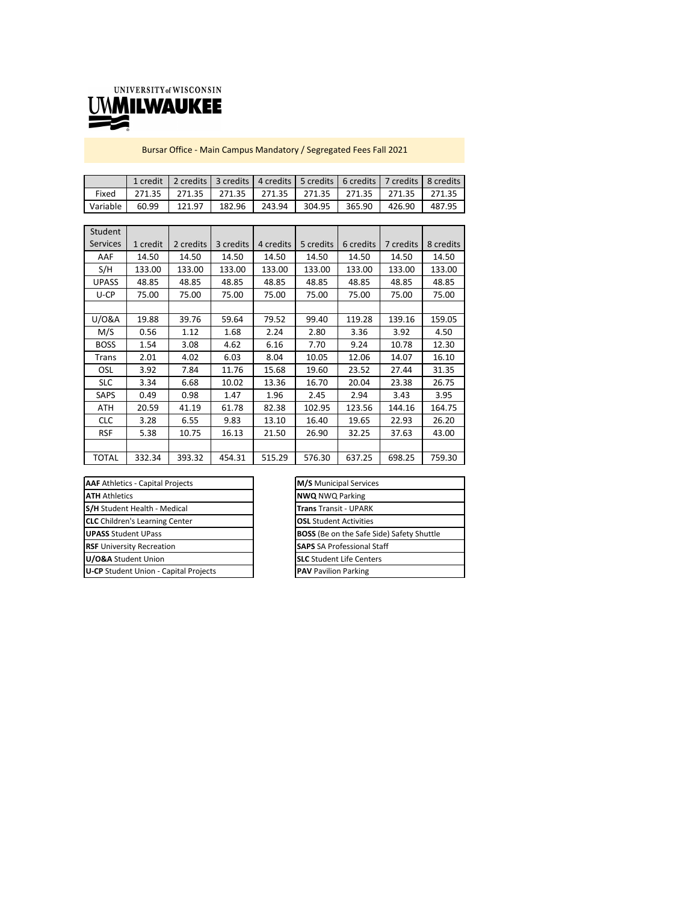

Bursar Office ‐ Main Campus Mandatory / Segregated Fees Fall 2021

|          | 1 credit | 2 credits   3 credits   4 credits   5 credits   6 credits   7 credits   8 credits |        |                               |        |        |        |        |
|----------|----------|-----------------------------------------------------------------------------------|--------|-------------------------------|--------|--------|--------|--------|
| Fixed    | 271.35   |                                                                                   |        | 271.35 271.35 271.35 271.35 1 |        | 271.35 | 271.35 | 271.35 |
| Variable | 60.99    | 121.97                                                                            | 182.96 | 243.94                        | 304.95 | 365.90 | 426.90 | 487.95 |

| Student         |          |           |           |           |           |           |           |           |
|-----------------|----------|-----------|-----------|-----------|-----------|-----------|-----------|-----------|
| <b>Services</b> | 1 credit | 2 credits | 3 credits | 4 credits | 5 credits | 6 credits | 7 credits | 8 credits |
| AAF             | 14.50    | 14.50     | 14.50     | 14.50     | 14.50     | 14.50     | 14.50     | 14.50     |
| S/H             | 133.00   | 133.00    | 133.00    | 133.00    | 133.00    | 133.00    | 133.00    | 133.00    |
| <b>UPASS</b>    | 48.85    | 48.85     | 48.85     | 48.85     | 48.85     | 48.85     | 48.85     | 48.85     |
| U-CP            | 75.00    | 75.00     | 75.00     | 75.00     | 75.00     | 75.00     | 75.00     | 75.00     |
|                 |          |           |           |           |           |           |           |           |
| U/0&A           | 19.88    | 39.76     | 59.64     | 79.52     | 99.40     | 119.28    | 139.16    | 159.05    |
| M/S             | 0.56     | 1.12      | 1.68      | 2.24      | 2.80      | 3.36      | 3.92      | 4.50      |
| <b>BOSS</b>     | 1.54     | 3.08      | 4.62      | 6.16      | 7.70      | 9.24      | 10.78     | 12.30     |
| Trans           | 2.01     | 4.02      | 6.03      | 8.04      | 10.05     | 12.06     | 14.07     | 16.10     |
| OSL             | 3.92     | 7.84      | 11.76     | 15.68     | 19.60     | 23.52     | 27.44     | 31.35     |
| <b>SLC</b>      | 3.34     | 6.68      | 10.02     | 13.36     | 16.70     | 20.04     | 23.38     | 26.75     |
| <b>SAPS</b>     | 0.49     | 0.98      | 1.47      | 1.96      | 2.45      | 2.94      | 3.43      | 3.95      |
| ATH             | 20.59    | 41.19     | 61.78     | 82.38     | 102.95    | 123.56    | 144.16    | 164.75    |
| <b>CLC</b>      | 3.28     | 6.55      | 9.83      | 13.10     | 16.40     | 19.65     | 22.93     | 26.20     |
| <b>RSF</b>      | 5.38     | 10.75     | 16.13     | 21.50     | 26.90     | 32.25     | 37.63     | 43.00     |
|                 |          |           |           |           |           |           |           |           |
| <b>TOTAL</b>    | 332.34   | 393.32    | 454.31    | 515.29    | 576.30    | 637.25    | 698.25    | 759.30    |

| <b>AAF</b> Athletics - Capital Projects      | M/S Municipal Servio         |
|----------------------------------------------|------------------------------|
| <b>ATH Athletics</b>                         | <b>NWQ NWQ Parking</b>       |
| S/H Student Health - Medical                 | <b>Trans Transit - UPAR</b>  |
| <b>CLC</b> Children's Learning Center        | <b>OSL</b> Student Activitie |
| <b>UPASS Student UPass</b>                   | <b>BOSS</b> (Be on the Safe  |
| <b>RSF</b> University Recreation             | <b>SAPS</b> SA Professiona   |
| U/O&A Student Union                          | <b>SLC</b> Student Life Cen  |
| <b>U-CP</b> Student Union - Capital Projects | <b>PAV</b> Pavilion Parking  |
|                                              |                              |

| <b>M/S</b> Municipal Services                    |  |
|--------------------------------------------------|--|
| <b>NWQ NWQ Parking</b>                           |  |
| <b>Trans Transit - UPARK</b>                     |  |
| <b>OSL</b> Student Activities                    |  |
| <b>BOSS</b> (Be on the Safe Side) Safety Shuttle |  |
| <b>SAPS</b> SA Professional Staff                |  |
| <b>SLC</b> Student Life Centers                  |  |
| <b>PAV</b> Pavilion Parking                      |  |